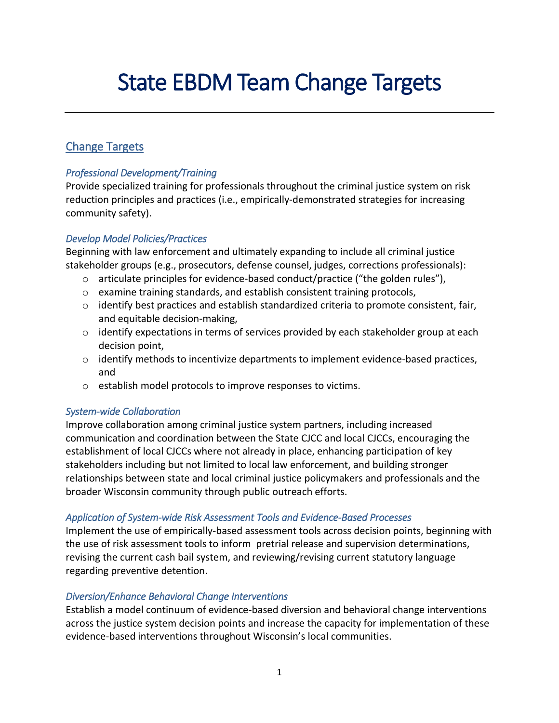# State EBDM Team Change Targets

# Change Targets

# *Professional Development/Training*

Provide specialized training for professionals throughout the criminal justice system on risk reduction principles and practices (i.e., empirically-demonstrated strategies for increasing community safety).

### *Develop Model Policies/Practices*

Beginning with law enforcement and ultimately expanding to include all criminal justice stakeholder groups (e.g., prosecutors, defense counsel, judges, corrections professionals):

- $\circ$  articulate principles for evidence-based conduct/practice ("the golden rules"),
- o examine training standards, and establish consistent training protocols,
- $\circ$  identify best practices and establish standardized criteria to promote consistent, fair, and equitable decision-making,
- $\circ$  identify expectations in terms of services provided by each stakeholder group at each decision point,
- $\circ$  identify methods to incentivize departments to implement evidence-based practices, and
- o establish model protocols to improve responses to victims.

#### *System-wide Collaboration*

Improve collaboration among criminal justice system partners, including increased communication and coordination between the State CJCC and local CJCCs, encouraging the establishment of local CJCCs where not already in place, enhancing participation of key stakeholders including but not limited to local law enforcement, and building stronger relationships between state and local criminal justice policymakers and professionals and the broader Wisconsin community through public outreach efforts.

# *Application of System-wide Risk Assessment Tools and Evidence-Based Processes*

Implement the use of empirically-based assessment tools across decision points, beginning with the use of risk assessment tools to inform pretrial release and supervision determinations, revising the current cash bail system, and reviewing/revising current statutory language regarding preventive detention.

#### *Diversion/Enhance Behavioral Change Interventions*

Establish a model continuum of evidence-based diversion and behavioral change interventions across the justice system decision points and increase the capacity for implementation of these evidence-based interventions throughout Wisconsin's local communities.